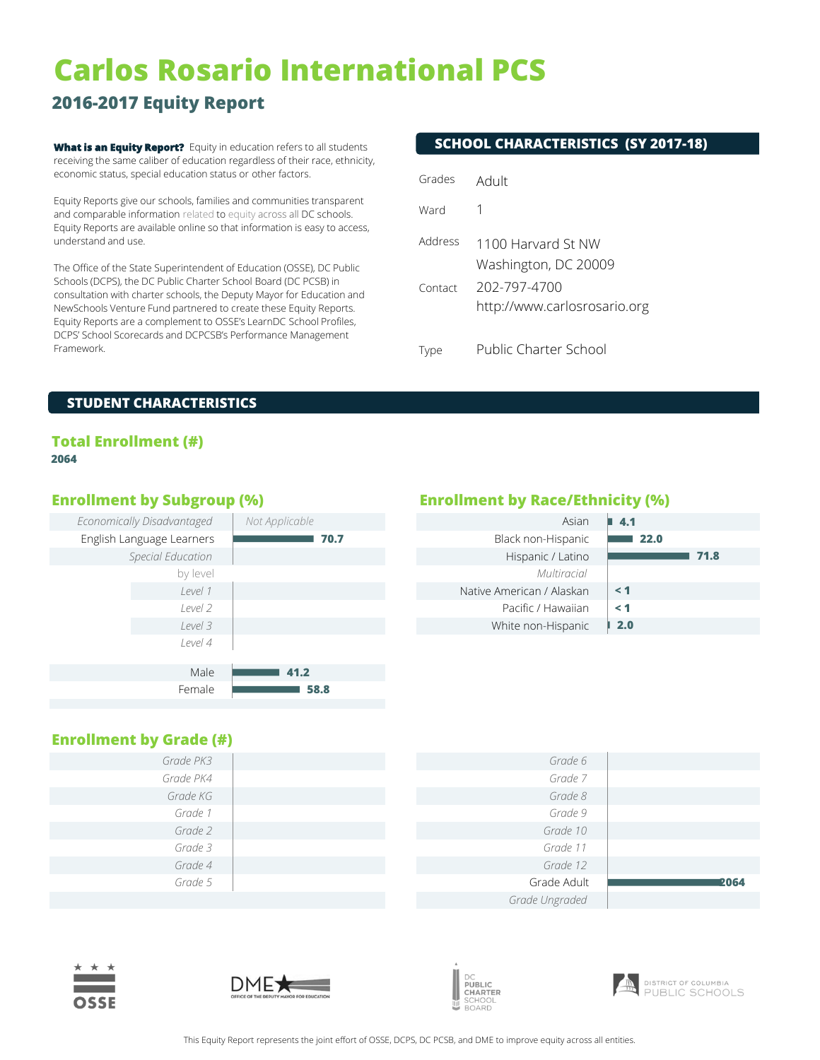# **Carlos Rosario International PCS**

## **2016-2017 Equity Report**

**What is an Equity Report?** Equity in education refers to all students receiving the same caliber of education regardless of their race, ethnicity, economic status, special education status or other factors.

Equity Reports give our schools, families and communities transparent and comparable information related to equity across all DC schools. Equity Reports are available online so that information is easy to access, understand and use.

The Office of the State Superintendent of Education (OSSE), DC Public Schools (DCPS), the DC Public Charter School Board (DC PCSB) in consultation with charter schools, the Deputy Mayor for Education and NewSchools Venture Fund partnered to create these Equity Reports. Equity Reports are a complement to OSSE's LearnDC School Profiles, DCPS' School Scorecards and DCPCSB's Performance Management Framework.

### **SCHOOL CHARACTERISTICS (SY 2017-18)**

| Grades             | Adult                                                                                      |
|--------------------|--------------------------------------------------------------------------------------------|
| Ward               | 1                                                                                          |
| Address<br>Contact | 1100 Harvard St NW<br>Washington, DC 20009<br>202-797-4700<br>http://www.carlosrosario.org |
| <b>IVDe</b>        | Public Charter School                                                                      |

### **STUDENT CHARACTERISTICS**

### **Total Enrollment (#) 2064**

| Economically Disadvantaged | Not Applicable | Asian                     |
|----------------------------|----------------|---------------------------|
| English Language Learners  | 70.7           | Black non-Hispanic        |
| Special Education          |                | Hispanic / Latino         |
| by level                   |                | Multiracial               |
| Level 1                    |                | Native American / Alaskan |
| Level 2                    |                | Pacific / Hawaiian        |
| Level 3                    |                | White non-Hispanic        |
| Level 4                    |                |                           |
|                            |                |                           |
| Male                       | 41.2           |                           |
| Female                     | 58.8           |                           |

### **Enrollment by Subgroup (%) Enrollment by Race/Ethnicity (%)**

| 4.1      |
|----------|
| 22.0     |
| 71.8     |
|          |
| $\leq 1$ |
| $\leq 1$ |
| 2.0      |
|          |

### **Enrollment by Grade (#)**

| Grade PK3 | Grade 6        |             |
|-----------|----------------|-------------|
| Grade PK4 | Grade 7        |             |
| Grade KG  | Grade 8        |             |
| Grade 1   | Grade 9        |             |
| Grade 2   | Grade 10       |             |
| Grade 3   | Grade 11       |             |
| Grade 4   | Grade 12       |             |
| Grade 5   | Grade Adult    | <b>2064</b> |
|           | Grade Ungraded |             |







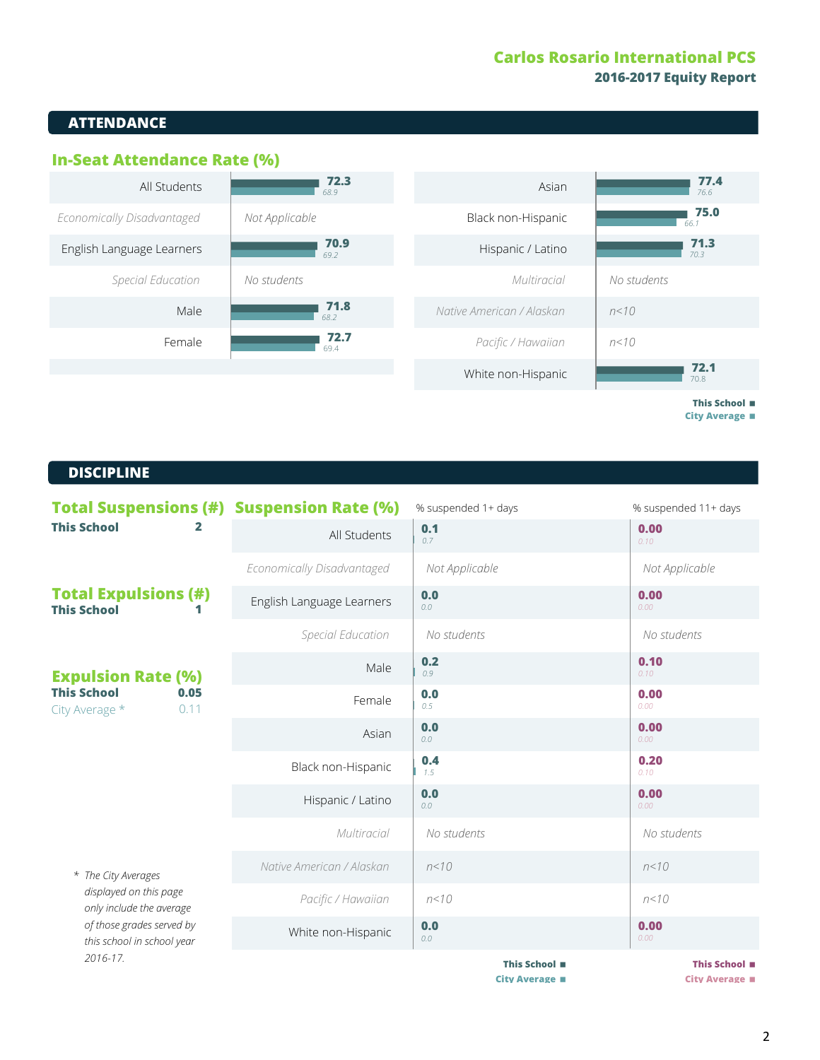### **Carlos Rosario International PCS 2016-2017 Equity Report**

### **ATTENDANCE**



**City Average** <

### **DISCIPLINE DISCIPLINE**

| <b>Total Suspensions (#) Suspension Rate (%)</b><br><b>This School</b>                                                               |                            | % suspended 1+ days | % suspended 11+ days |
|--------------------------------------------------------------------------------------------------------------------------------------|----------------------------|---------------------|----------------------|
|                                                                                                                                      | All Students               | 0.1<br>0.7          | 0.00<br>0.10         |
|                                                                                                                                      | Economically Disadvantaged | Not Applicable      | Not Applicable       |
| <b>Total Expulsions (#)</b><br><b>This School</b>                                                                                    | English Language Learners  | 0.0<br>0.0          | 0.00<br>0.00         |
|                                                                                                                                      | Special Education          | No students         | No students          |
| <b>Expulsion Rate (%)</b><br><b>This School</b><br>0.05<br>0.11<br>City Average *                                                    | Male                       | 0.2<br>0.9          | 0.10<br>0.10         |
|                                                                                                                                      | Female                     | 0.0<br>0.5          | 0.00<br>0.00         |
|                                                                                                                                      | Asian                      | 0.0<br>0.0          | 0.00<br>0.00         |
|                                                                                                                                      | Black non-Hispanic         | 0.4<br>1.5          | 0.20<br>0.10         |
|                                                                                                                                      | Hispanic / Latino          | 0.0<br>0.0          | 0.00<br>0.00         |
|                                                                                                                                      | Multiracial                | No students         | No students          |
| * The City Averages<br>displayed on this page<br>only include the average<br>of those grades served by<br>this school in school year | Native American / Alaskan  | n < 10              | n < 10               |
|                                                                                                                                      | Pacific / Hawaiian         | n < 10              | n < 10               |
|                                                                                                                                      | White non-Hispanic         | 0.0<br>0.0          | 0.00<br>0.00         |
| $2016 - 17$                                                                                                                          |                            | This School ■       | This School ■        |

**City Average**  $\blacksquare$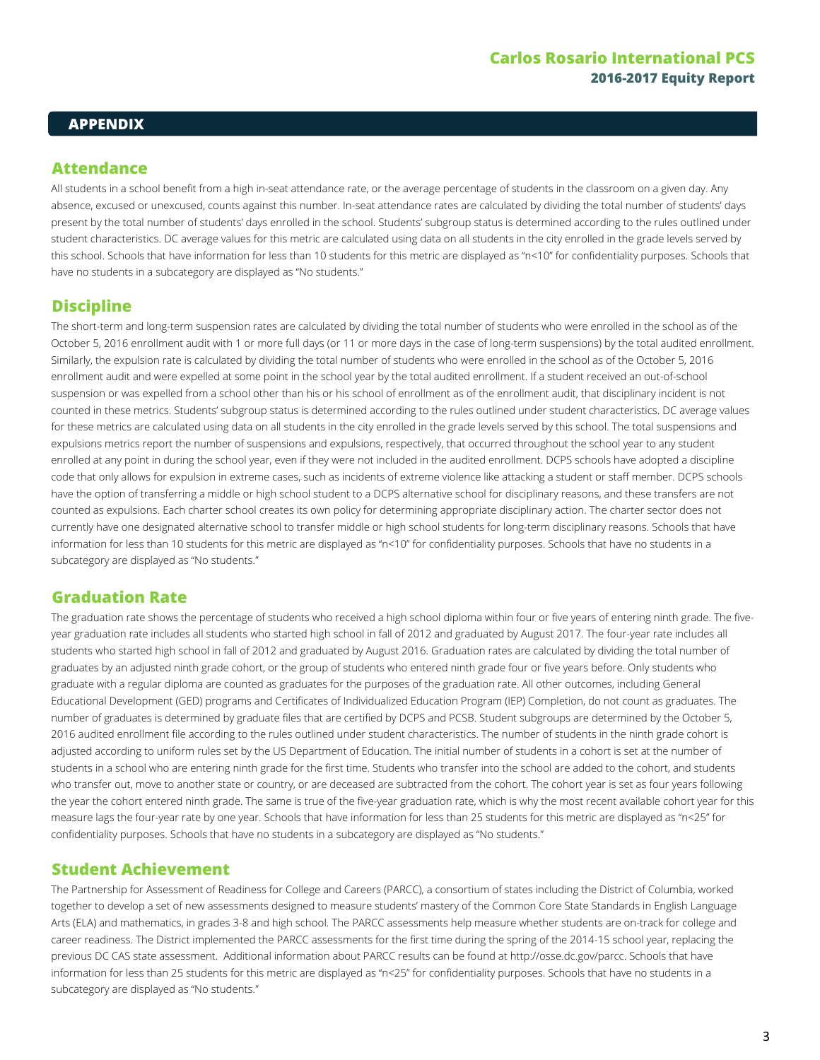### **APPENDIX**

### **Attendance**

All students in a school benefit from a high in-seat attendance rate, or the average percentage of students in the classroom on a given day. Any absence, excused or unexcused, counts against this number. In-seat attendance rates are calculated by dividing the total number of students' days present by the total number of students' days enrolled in the school. Students' subgroup status is determined according to the rules outlined under student characteristics. DC average values for this metric are calculated using data on all students in the city enrolled in the grade levels served by this school. Schools that have information for less than 10 students for this metric are displayed as "n<10" for confidentiality purposes. Schools that have no students in a subcategory are displayed as "No students."

### **Discipline**

The short-term and long-term suspension rates are calculated by dividing the total number of students who were enrolled in the school as of the October 5, 2016 enrollment audit with 1 or more full days (or 11 or more days in the case of long-term suspensions) by the total audited enrollment. Similarly, the expulsion rate is calculated by dividing the total number of students who were enrolled in the school as of the October 5, 2016 enrollment audit and were expelled at some point in the school year by the total audited enrollment. If a student received an out-of-school suspension or was expelled from a school other than his or his school of enrollment as of the enrollment audit, that disciplinary incident is not counted in these metrics. Students' subgroup status is determined according to the rules outlined under student characteristics. DC average values for these metrics are calculated using data on all students in the city enrolled in the grade levels served by this school. The total suspensions and expulsions metrics report the number of suspensions and expulsions, respectively, that occurred throughout the school year to any student enrolled at any point in during the school year, even if they were not included in the audited enrollment. DCPS schools have adopted a discipline code that only allows for expulsion in extreme cases, such as incidents of extreme violence like attacking a student or staff member. DCPS schools have the option of transferring a middle or high school student to a DCPS alternative school for disciplinary reasons, and these transfers are not counted as expulsions. Each charter school creates its own policy for determining appropriate disciplinary action. The charter sector does not currently have one designated alternative school to transfer middle or high school students for long-term disciplinary reasons. Schools that have information for less than 10 students for this metric are displayed as "n<10" for confidentiality purposes. Schools that have no students in a subcategory are displayed as "No students."

### **Graduation Rate**

The graduation rate shows the percentage of students who received a high school diploma within four or five years of entering ninth grade. The fiveyear graduation rate includes all students who started high school in fall of 2012 and graduated by August 2017. The four-year rate includes all students who started high school in fall of 2012 and graduated by August 2016. Graduation rates are calculated by dividing the total number of graduates by an adjusted ninth grade cohort, or the group of students who entered ninth grade four or five years before. Only students who graduate with a regular diploma are counted as graduates for the purposes of the graduation rate. All other outcomes, including General Educational Development (GED) programs and Certificates of Individualized Education Program (IEP) Completion, do not count as graduates. The number of graduates is determined by graduate files that are certified by DCPS and PCSB. Student subgroups are determined by the October 5, 2016 audited enrollment file according to the rules outlined under student characteristics. The number of students in the ninth grade cohort is adjusted according to uniform rules set by the US Department of Education. The initial number of students in a cohort is set at the number of students in a school who are entering ninth grade for the first time. Students who transfer into the school are added to the cohort, and students who transfer out, move to another state or country, or are deceased are subtracted from the cohort. The cohort year is set as four years following the year the cohort entered ninth grade. The same is true of the five-year graduation rate, which is why the most recent available cohort year for this measure lags the four-year rate by one year. Schools that have information for less than 25 students for this metric are displayed as "n<25" for confidentiality purposes. Schools that have no students in a subcategory are displayed as "No students."

### **Student Achievement**

The Partnership for Assessment of Readiness for College and Careers (PARCC), a consortium of states including the District of Columbia, worked together to develop a set of new assessments designed to measure students' mastery of the Common Core State Standards in English Language Arts (ELA) and mathematics, in grades 3-8 and high school. The PARCC assessments help measure whether students are on-track for college and career readiness. The District implemented the PARCC assessments for the first time during the spring of the 2014-15 school year, replacing the previous DC CAS state assessment. Additional information about PARCC results can be found at http://osse.dc.gov/parcc. Schools that have information for less than 25 students for this metric are displayed as "n<25" for confidentiality purposes. Schools that have no students in a subcategory are displayed as "No students."